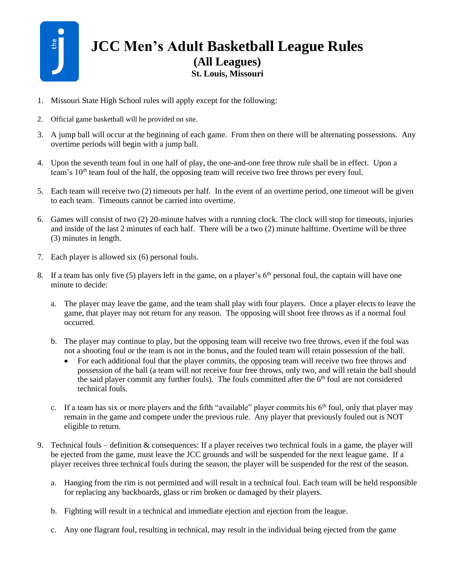

## **JCC Men's Adult Basketball League Rules (All Leagues) St. Louis, Missouri**

- 1. Missouri State High School rules will apply except for the following:
- 2. Official game basketball will be provided on site.
- 3. A jump ball will occur at the beginning of each game. From then on there will be alternating possessions. Any overtime periods will begin with a jump ball.
- 4. Upon the seventh team foul in one half of play, the one-and-one free throw rule shall be in effect. Upon a team's 10<sup>th</sup> team foul of the half, the opposing team will receive two free throws per every foul.
- 5. Each team will receive two (2) timeouts per half. In the event of an overtime period, one timeout will be given to each team. Timeouts cannot be carried into overtime.
- 6. Games will consist of two (2) 20-minute halves with a running clock. The clock will stop for timeouts, injuries and inside of the last 2 minutes of each half. There will be a two (2) minute halftime. Overtime will be three (3) minutes in length.
- 7. Each player is allowed six (6) personal fouls.
- 8. If a team has only five (5) players left in the game, on a player's  $6<sup>th</sup>$  personal foul, the captain will have one minute to decide:
	- a. The player may leave the game, and the team shall play with four players. Once a player elects to leave the game, that player may not return for any reason. The opposing will shoot free throws as if a normal foul occurred.
	- b. The player may continue to play, but the opposing team will receive two free throws, even if the foul was not a shooting foul or the team is not in the bonus, and the fouled team will retain possession of the ball.
		- For each additional foul that the player commits, the opposing team will receive two free throws and possession of the ball (a team will not receive four free throws, only two, and will retain the ball should the said player commit any further fouls). The fouls committed after the  $6<sup>th</sup>$  foul are not considered technical fouls.
	- c. If a team has six or more players and the fifth "available" player commits his  $6<sup>th</sup>$  foul, only that player may remain in the game and compete under the previous rule. Any player that previously fouled out is NOT eligible to return.
- 9. Technical fouls definition & consequences: If a player receives two technical fouls in a game, the player will be ejected from the game, must leave the JCC grounds and will be suspended for the next league game. If a player receives three technical fouls during the season, the player will be suspended for the rest of the season.
	- a. Hanging from the rim is not permitted and will result in a technical foul. Each team will be held responsible for replacing any backboards, glass or rim broken or damaged by their players.
	- b. Fighting will result in a technical and immediate ejection and ejection from the league.
	- c. Any one flagrant foul, resulting in technical, may result in the individual being ejected from the game